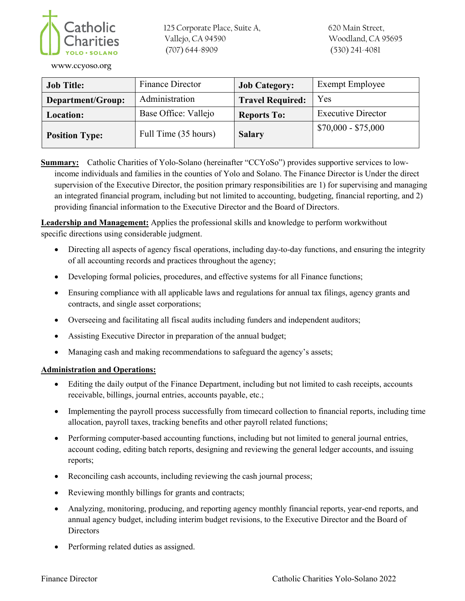

125 Corporate Place, Suite A, Vallejo, CA 94590 (707) 644-8909

**www.ccyoso.org**

| <b>Job Title:</b>     | <b>Finance Director</b> | <b>Job Category:</b>    | Exempt Employee           |
|-----------------------|-------------------------|-------------------------|---------------------------|
| Department/Group:     | Administration          | <b>Travel Required:</b> | <b>Yes</b>                |
| Location:             | Base Office: Vallejo    | <b>Reports To:</b>      | <b>Executive Director</b> |
| <b>Position Type:</b> | Full Time (35 hours)    | <b>Salary</b>           | $$70,000 - $75,000$       |

**Summary:** Catholic Charities of Yolo-Solano (hereinafter "CCYoSo") provides supportive services to lowincome individuals and families in the counties of Yolo and Solano. The Finance Director is Under the direct supervision of the Executive Director, the position primary responsibilities are 1) for supervising and managing an integrated financial program, including but not limited to accounting, budgeting, financial reporting, and 2) providing financial information to the Executive Director and the Board of Directors.

Leadership and Management: Applies the professional skills and knowledge to perform work without specific directions using considerable judgment.

- Directing all aspects of agency fiscal operations, including day-to-day functions, and ensuring the integrity of all accounting records and practices throughout the agency;
- Developing formal policies, procedures, and effective systems for all Finance functions;
- Ensuring compliance with all applicable laws and regulations for annual tax filings, agency grants and contracts, and single asset corporations;
- Overseeing and facilitating all fiscal audits including funders and independent auditors;
- Assisting Executive Director in preparation of the annual budget;
- Managing cash and making recommendations to safeguard the agency's assets;

## **Administration and Operations:**

- Editing the daily output of the Finance Department, including but not limited to cash receipts, accounts receivable, billings, journal entries, accounts payable, etc.;
- Implementing the payroll process successfully from timecard collection to financial reports, including time allocation, payroll taxes, tracking benefits and other payroll related functions;
- Performing computer-based accounting functions, including but not limited to general journal entries, account coding, editing batch reports, designing and reviewing the general ledger accounts, and issuing reports;
- Reconciling cash accounts, including reviewing the cash journal process;
- Reviewing monthly billings for grants and contracts;
- Analyzing, monitoring, producing, and reporting agency monthly financial reports, year-end reports, and annual agency budget, including interim budget revisions, to the Executive Director and the Board of **Directors**
- Performing related duties as assigned.